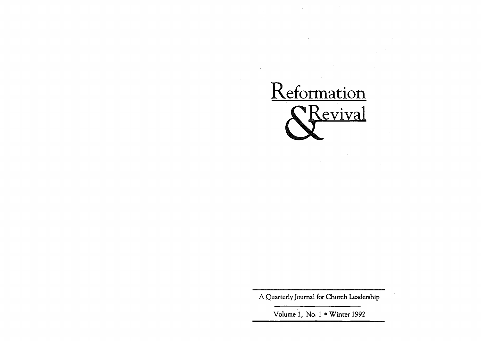

A Quarterly Journal for Church Leadership

Volume 1, No. 1 . Winter 1992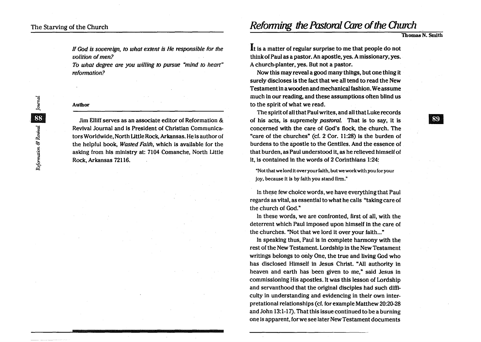If God is sovereign, to what extent is He responsible for the volition of men?

To what degree are you willing *to* pursue "mind to heart" reformation?

## Author

Jim Elliff serves as an associate editor of Reformation & Revival Journal and is President of Christian Communicators Worldwide, North Little Rock, Arkansas. He is author of the helpful book, Wasted Faith, which is available for the asking from his ministry at: 7104 Comanche, North Little Rock, Arkansas 72116.

**Reforming the Pastoral Care of the Church** 

Thomas N. Smith

**89** 

It is a matter of regular surprise to me that people do not think of Paul as a pastor. An apostle, yes. A missionary, yes. A church-planter, yes. But not a pastor.

Now this may reveal a good many things, but one thing it surely discloses is the fact that we all tend to read the New Testament in a wooden and mechanical fashion. We assume much in our reading, and these assumptions often blind us to the spirit of what we read.

The spirit of all that Paul writes, and all that Luke records of his acts, is supremely pastoral. That is to say, it is concerned with the care of God's flock, the church. The "care of the churches" (ct. 2 Cor. 11:28) is the burden of burdens to the apostle to the Gentiles. And the essence of that burden, as Paul understood it, as he relieved himself of it, is contained in the words of 2 Corinthians 1:24:

"Not that we lord it over your faith, but we work with you for your joy, because it is by faith you stand firm."

In these few choice words, we have everything that Paul regards as vital, as essential to what he calls "taking care of the church of God."

In these words, we are confronted, first of all, with the deterrent which Paul imposed upon himself in the care of the churches. "Not that we lord it over your faith..."

In speaking thus, Paul is in complete harmony with the rest of the New Testament. Lordship in the New Testament writings belongs to only One, the true and living God who has disclosed Himself in Jesus Christ. "All authority in heaven and earth has been given to me," said Jesus in commissioning His apostles. It was this lesson of Lordship and servanthood that the original disciples had such difficulty in understanding and evidencing in their own interpretational relationships (cf. for example Matthew 20:20-28 and John 13:1-17). That this issue continued to be a burning one is apparent, for we see later New Testament documents

nal <mark>33</mark> Journal 88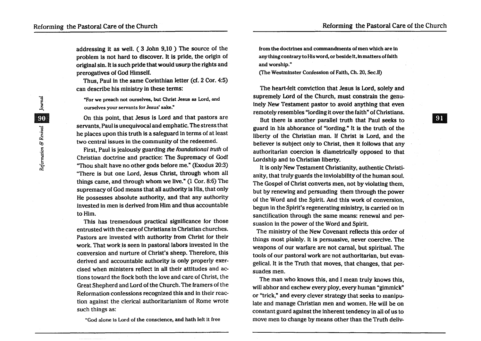addressing it as well. ( 3 John 9,10 ) The source of the problem is not hard to discover. It is pride, the origin of original sin. It is such pride that would usurp the rights and prerogatives of God Himself.

Thus, Paul in the same Corinthian letter (ct. 2 Cor. 4:5) can describe his ministry in these terms:

"For we preach not ourselves, but Christ Jesus as Lord, and ourselves your servants for Jesus' sake."

On this point, that Jesus is Lord and that pastors are servants, Paul is unequivocal and emphatic. The stress. that he places upon this truth is a safeguard in terms of at least two central issues in the community of the redeemed.

First, Paul is jealously guarding the foundational truth of Christian doctrine and practice: The Supremacy of God! "Thou shalt have no other gods before me." (Exodus 20:3) "There is but one Lord, Jesus Christ, through whom all things came, and through whom we live." (1 Cor. 8:6) The supremacy of God means that all authority is His, that only He possesses absolute authority, and that any authority invested in men is derived from Him and thus accountable to Him.

This has tremendous practical significance for those entrusted with the care of Christians in Christian churches. Pastors are invested with authority from Christ for their work. That work is seen in pastoral labors invested in the conversion and nurture of Christ's sheep. Therefore, this derived and accountable authority is only properly exercised when ministers reflect in all their attitudes and actions toward the flock both the love and care of Christ, the Great Shepherd and Lord of the Church. The framers of the Reformation confessions recognized this and in their reaction against the clerical authoritarianism of Rome wrote such things as:

"God alone is Lord of the conscience, and hath left It free

from the doctrines and commandments of men which are in any thing contrary to His word, or beside It, in matters of faith and worship."

(fhe Westminster Confession of Faith, Ch. 20, Sec.lI)

The heart-felt conviction that Jesus is Lord, solely and supremely Lord of the Church, must constrain the genuinely New Testament pastor to avoid anything that even remotely resembles "lording it over the faith" of Christians.

But there is another parallel truth that Paul seeks to guard in his abhorance of "lording." It is the truth of the liberty of the Christian man. If Christ is Lord, and the believer is subject only to Christ, then it follows that any authoritarian coercion is diametrically opposed to that Lordship and to Christian liberty.

It is only New Testament Christianity, authentic Christianity, that truly guards the inviolability of the human soul. The Gospel of Christ converts men, not by violating them, but by renewing and persuading them through the power of the Word and the Spirit. And this work of conversion, begun in the Spirit's regenerating ministry, is carried on in sanctification through the same means: renewal and persuasion in the power of the Word and Spirit.

The ministry of the New Covenant reflects this order of things most plainly. It is persuasive, never coercive. The weapons of our warfare are not carnal, but spiritual. The tools of our pastoral work are not authoritarian, but evangelical. It is the Truth that moves, that changes, that persuades men.

The man who knows this, and I mean truly knows this, will abhor and eschew every ploy, every human "gimmick" or "trick," and every clever strategy that seeks to manipulate and manage Christian men and women. He will be on constant guard against the inherent tendency in all of us to move men to change by means other than the Truth deliv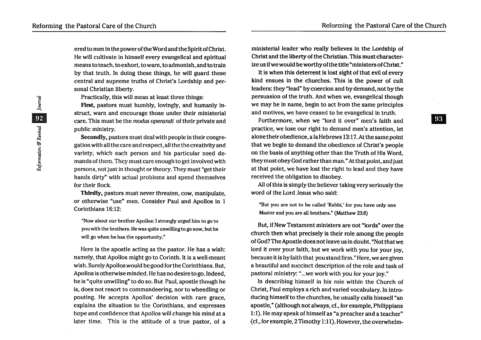ered to men in the power of the Word and the Spirit of Christ. He will cultivate in himself every evangelical and spiritual means to teach, to exhort, to warn, to admonish, and to train by that truth. In doing these things, he will guard these central and supreme truths of Christ's Lordship and personal Christian liberty.

Practically, this will mean at least three things:

First, pastors must humbly, lovingly, and humanly instruct, warn and encourage those under their ministerial care. This must be the modus operandi of their private and public ministry.

Secondly, pastors must deal with people in their congregation with all the care and respect, all the the creativity and variety, which each person and his particular need demands of them. They must care enough to get involved with persons, not just in thought or theory. They must "get their hands dirty" with actual problems and spend themselves for their flock.

Thirdly, pastors must never threaten, cow, manipulate, or otherwise "use" men. Consider Paul and Apollos in 1 Corinthians 16:12:

"Now about our brother Apollos: I strongly urged him to go to you with the brothers. He was quite unwilling to go now, but he will go when he has the opportunity."

Here is the apostle acting as the pastor. He has a wish: namely, that Apollos might go to Corinth. It is a well-meant wish. Surely Apollos would be good for the Corinthians. But, Apollos is otherwise minded. He has no desire to go. Indeed, he is "quite unwilling" to do so. But Paul, apostle though he is, does not resort to commandeering, nor to wheedling or pouting. He accepts Apollos' decision with rare grace, explains the situation to the Corinthians, and expresses hope and confidence that Apollos will change his mind at a later time. This is the attitude of a true pastor, of a ministerial leader who really believes in the Lordship of Christ and the liberty of the Christian. This must characterize us if we would be worthy of the title "ministers of Christ."

It is when this deterrent is lost sight of that evil of every kind ensues in the churches. This is the power of cult leaders: they "lead" by coercion and by demand, not by the persuasion of the truth. And when we, evangelical though we may be in name, begin to act from the same principles and motives, we have ceased to be evangelical in truth.

Furthermore, when we "lord it over" men's faith and practice, we lose our right to demand men's attention, let alone their obedience, a la Hebrews 13: 17. At the same point that we begin to demand the obedience of Christ's people on the basis of anything other than the Truth of His Word, they must obey God rather than man." At that point, and just at that point, we have lost the right to lead and they have received the obligation to disobey.

All of this is simply the believer taking very seriously the word of the Lord Jesus who said:

"But you are not to be called 'Rabbi,' for you have only one Master and you are all brothers." (Matthew 23:8)

But, if New Testament ministers are not "lords" over the church then what precisely is their role among the people of God? The Apostle does not leave us in doubt. "Not that we lord it over your faith, but we work with you for your joy, because it is by faith that you stand firm. "Here, we are given a beautiful and succinct description of the role and task of pastoral ministry: "...we work with you for your joy."

In describing himself in his role within the Church of Christ, Paul employs a rich and varied vocabulary. In introducing himself to the churches, he usually calls himself "an apostle," (although not always, cf., for example, Philippians 1:1). He may speak of himself as"a preacher and a teacher" (d., for example, 2 Timothy 1:11). However, the overwhelm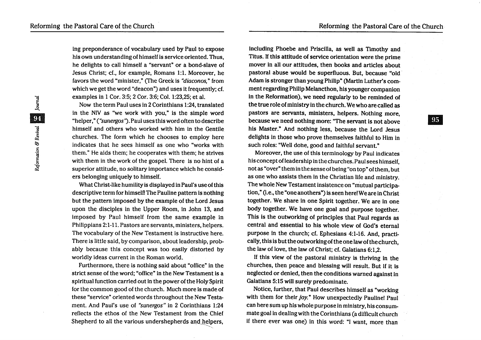ing preponderance of vocabulary used by Paul to expose his own understanding of himself is service oriented. Thus, he delights to call himself a "servant" or a bond-slave of Jesus Christ; d., for example, Romans 1:1. Moreover, he favors the word "minister," (The Greek is "diaconos." from which we get the word "deacon") and uses it frequently; cf. examples in 1 Cor. 3:5; 2 Cor. 3:6; Col. 1:23,25; et al.

Now the term Paul uses in 2 Corinthians 1 :24, translated in the NIV as ''we work with you," is the simple word "helper," ("sunergos"). Paul uses this word often to describe himself and others who worked with him in the Gentile churches. The form which he chooses to employ here indicates that he sees himself as one who "works with them." He aids them; he cooperates with them; he strives with them in the work of the gospel. There is no hint of a superior attitude, no solitary importance which he considers belonging uniquely to himself.

What Christ-like humility is displayed in Paul's use of this descriptive term for himself! The Pauline pattern is nothing but the pattern imposed by the example of the Lord Jesus upon the disciples in the Upper Room, in John 13, and imposed by Paul himself from the same example in Philippians 2:1-11. Pastors are servants, ministers, helpers. The vocabulary of the New Testament is instructive here. There is little said, by comparison, about leadership, probably because this concept was too easily distorted by worldly ideas current in the Roman world.

Furthermore, there is nothing said about "office" in the strict sense of the word; "office" in the New Testament is a spiritual function carried out in the power of the Holy Spirit for the common good of the church. Much more is made of these "service" oriented words throughout the New Testament. And Paul's use of "sunergos" in 2 Corinthians 1:24 reflects the ethos of the New Testament from the Chief Shepherd to all the various undershepherds and helpers,

including Phoebe and Priscilla, as well as Timothy and Titus. If this attitude of service orientation were the prime mover in all our attitudes, then books and articles about pastoral abuse would be superfluous. But, because "old Adam is stronger than young Philip" (Martin Luther's comment regarding Philip Melancthon, his younger companion in the Reformation), we need regularly to be reminded of the true role of ministry in the church. We who are called as pastors are servants, ministers, helpers. Nothing more, because we need nothing more: "The servant is not above his Master." And nothing less, because the Lord Jesus delights in those who prove themselves faithful to Him in such roles: "Well done, good and faithful servant."

Moreover, the use of this terminology by Paul indicates his concept ofleadership in the churches. Paul sees himself, not as "over" them in the sense of being "on top" of them, but as one who assists them in the Christian life and ministry. The whole New Testament insistence on "mutual participation," (i.e., the "one anothers") is seen here! We are in Christ together. We share in one Spirit together. We are in one body together. We have one goal and purpose together. This is the outworking of principles that Paul regards as central and essential to his whole view of God's eternal purpose in the church; cf. Ephesians 4:1-16. And, practically, this is but the outworking of the one law of the church, the law of love, the law of Christ; cf. Galatians 6:1,2.

If this view of the pastoral ministry is thriving in the churches, then peace and blessing will result. But if it is neglected or denied, then the conditions warned against in Galatians 5:15 will surely predominate.

Notice, further, that Paul describes himself as "working with them for their joy." How unexpectedly Pauline! Paul can here sum up his whole purpose in ministry, his consummate goal in dealing with the Corinthians (a difficult church if there ever was one) in this word: "I want, more than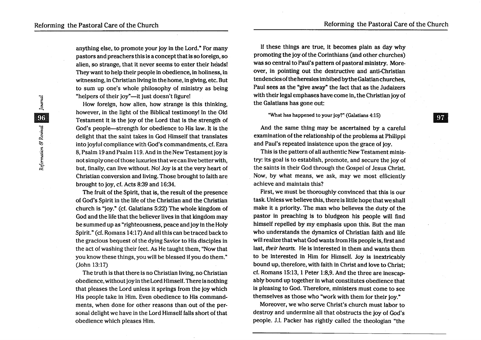anything else, to promote your joy in the Lord." For many pastors and preachers this is a concept that is so foreign, so alien, so strange, that it never seems to enter their heads! They want to help their people in obedience, in holiness, in witnessing, in Christian living in the home, in giving, etc. But to sum up one's whole philosophy of ministry as being "helpers of their joy"—it just doesn't figure!

How foreign, how alien, how strange is this thinking, however, in the light of the Biblical testimony! In the Old Testament it is the joy of the Lord that is the strength of God's people—strength for obedience to His law. It is the delight that the saint takes in God Himself that translates into joyful compliance with God's commandments, cf. Ezra 8, Psalm 19and Psalm 119.And in the New Testament joy is not simply one of those luxuries that we can live better with, but, finally, can live without. No! Joy is at the very heart of Christian conversion and living. Those brought to faith are brought to joy, cf. Acts 8:39 and 16:34.

The fruit of the Spirit, that is, the result of the presence of God's Spirit in the life of the Christian and the Christian church is "joy." (cf. Galatians 5:22) The whole kingdom of God and the life that the believer lives in that kingdom may be summed up as "righteousness, peace and joy in the Holy Spirit." (cf. Romans 14:17) And all this can be traced back to the gracious bequest of the dying Savior to His disciples in the act of washing their feet. As He taught them, "Now that you know these things, you will be blessed if you do them."  $(John 13:17)$ 

The truth is that there is no Christian living, no Christian obedience, without joy in the Lord Himself. There is nothing that pleases the Lord unless it springs from the joy which His people take in Him. Even obedience to His commandments, when done for other reasons than out of the personal delight we have in the Lord Himself falls short of that obedience which pleases Him.

If these things are true, it becomes plain as day why promoting the joy of the Corinthians (and other churches) was so central to Paul's pattern of pastoral ministry. Moreover, in pointing out the destructive and anti-Christian tendencies of the heresies imbibed by the Galatian churches, Paul sees as the "give away" the fact that as the Judaizers with their legal emphases have come in, the Christian joy of the Galatians has gone out:

"What has happened to your joy?" (Galatians 4:15)

And the same thing may be ascertained by a careful examination of the relationship of the problems at Philippi and Paul's repeated insistence upon the grace of joy.

This is the pattern of all authentic New Testament ministry: its goal is to establish, promote, and secure the joy of the saints in their God through the Gospel of Jesus Christ. Now, by what means, we ask, may we most efficiently achieve and maintain this?

First, we must be thoroughly convinced that this is our task. Unless we believe this, there is little hope that we shall make it a priority. The man who believes the duty of the pastor in preaching is to bludgeon his people will find himself repelled by my emphasis upon this. But the man who understands the dynamics of Christian faith and life will realize that what God wants from His people is, first and last, *their hearts.* He is interested in them and wants them to be interested in Him for Himself. Joy is inextricably bound up, therefore, with faith in Christ and love to Christ; cf. Romans 15:13, 1 Peter 1:8,9. And the three are inescapably bound up together in what constitutes obedience that is pleasing to God. Therefore, ministers must come to see themselves as those who "work with them for their joy."

Moreover, wewho serve Christ's church must labor to destroy and undermine all that obstructs the joy of God's people. J.I. Packer has rightly called the theologian "the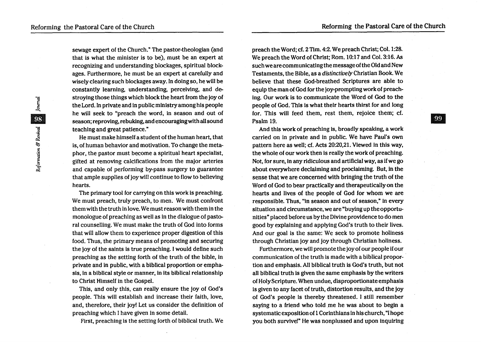**99** 

sewage expert of the Church." The pastor-theologian (and that is what the minister is to be), must be an expert at recognizing and understanding blockages, spiritual blockages. Furthermore, he must be an expert at carefully and wisely clearing such blockages away. In doing so, he will be constantly learning, understanding, perceiving, and destroying those things which block the heart from the joy of the Lord. In private and in public ministry among his people he will seek to "preach the word, in season and out of season; reproving, rebuking, and encouraging with all sound teaching and great patience."

He must make himself a student of the human heart, that is, of human behavior and motivation. To change the metaphor, the pastor must become a spiritual heart specialist, gifted at removing calcifications from the major arteries and capable of performing by-pass surgery to guarantee that ample supplies of joy will continue to flow to believing hearts.

The primary tool for carrying on this work is preaching. We must preach, truly preach, to men. We must confront them with the truth in love. We must reason with them in the monologue of preaching as well as in the dialogue of pastoral counselling. We must make the truth of God into forms that will allow them to experience proper digestion of this food. Thus, the primary means of promoting and securing the joy of the saints is true preaching. I would define such preaching as the setting forth of the truth of the bible, in private and in public, with a biblical proportion or emphasis, in a biblical style or manner, in its biblical relationship to Christ Himself in the Gospel.

This, and only this, can really ensure the joy of God's people. This will establish and increase their faith, love, and, therefore, their joy! Let us consider the definition of preaching which I have given in some detail.

First, preaching is the setting forth of biblical truth. We

preach the Word; cf. 2 Tim. 4:2. We preach Christ; Col. 1:28. We preach the Word of Christ; Rom. 10:17 and Col. 3:16. *As*  such we are communicating the message of the Old and New Testaments, the Bible, as a *distinctively* Christian Book. We believe that these God-breathed Scriptures are able to equip the man of God for the joy-prompting work of preaching. Our work is to communicate the Word of God to the people of God. This is what their hearts thirst for and long for. This will feed them, rest them, rejoice them; cf. Psalm 19.

And this work of preaching is, broadly speaking, a work carried on in private and in public. We have Paul's own pattern here as well; cf. Acts 20:20,21. Viewed in this way, the whole of our work then is really the work of preaching. Not, for sure, in any ridiculous and artificial way, as if we go about everywhere declaiming and proclaiming. But, in the sense that we are concerned with bringing the truth of the Word of God to bear practically and therapeutically on the hearts and lives of the people of God for whom we are responsible. Thus, "in season and out of season," in every situation and circumstance, we are "buying up the opportunities" placed before us by the Divine providenceto do men good by explaining and applying God's truth to their lives. And our goal is the same: We seek to promote holiness through Christian joy and joy through Christian holiness.

Furthermore, we will promote the joy of our people if our communication of the truth is made with a biblical proportion and emphasis. All biblical truth is God's truth, but not all biblical truth is given the same emphasis by the writers of HolyScripture; When undue, disproportionate emphasis is given to any facet of truth, distortion results, and the joy of God's people is thereby threatened. I still remember saying to a friend who told me he was about to begin a systematic exposition of 1 Corinthians in his church, "I hope you both survive!" He was nonplussed and upon inquiring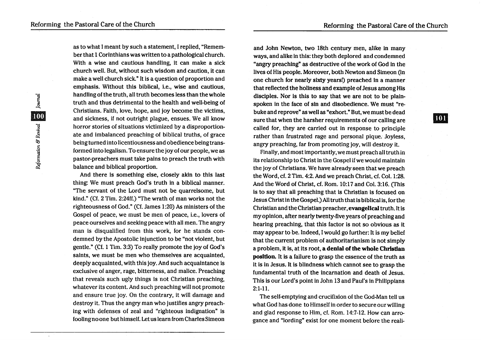as to what I meant by such a statement, I replied, "Remember that 1 Corinthians was written to a pathological church. With a wise and cautious handling, it can make a sick church well. But, without such wisdom and caution, it can make a well church sick. " It is a question of proportion and emphasis. Without this biblical, i.e., wise and cautious, handling of the truth, all truth becomes less than the whole truth and thus detrimental to the health and well-being of Christians. Faith, love, hope, and joy become the victims, and sickness, if not outright plague, ensues. We all know horror stories of situations victimized by a disproportionate and imbalanced preaching of biblical truths, of grace being turned into licentiousness and obedience being transformed into legalism. To ensure the joyof our people, we as pastor-preachers must take pains to preach the truth with balance and biblical proportion.

And there is something else, closely akin to this last thing: We must preach God's truth in a biblical manner. "The servant of the Lord must not be quarrelsome, but kind." *(Cf. 2 Tim. 2:24ff.)* "The wrath of man works not the righteousness of God." *(Cl.* James 1:20) As ministers of the Gospel of peace, we must be men of peace, i.e., lovers of peace ourselves and seeking peace with all men. The angry man is disqualified from this work, for he stands condemned by the Apostolic injunction to be "not violent, but gentle." (Cf. 1 Tim. 3:3) To really promote the joy of God's saints, we must be men who themselves are acquainted, deeply acquainted, with this joy. And such acquaintance is exclusive of anger, rage, bitterness, and malice. Preaching that reveals such ugly things is not Christian preaching, whatever its content. And such preaching will not promote and ensure true joy. On the contrary, it will damage and destroy it. Thus the angry man who justifies angry preaching with defenses of zeal and "righteous indignation" is foolingnoone but himself. Let us learn from Charles Simeon

and John Newton, two 18th century men, alike in many ways, and alike in this: they both deplored and condemned "angry preaching" as destructive of the work of God in the lives of His people. Moreover, both Newton and Simeon (in one church for nearly sixty years!) preached in a manner that reflected the holiness and example of Jesus among His disciples. Nor is this to say that we are not to be plainspoken in the face of sin and disobedience. We must "rebuke and reprove" as well as "exhort." But, we must be dead sure that when the harsher requirements of our calling are called for, they are carried out in response to principle rather than frustrated rage and personal pique. Joyless, angry preaching, far from promoting joy, will destroy it.

Finally, and most importantly, we must preach all truth in its relationship to Christ in the Gospel if we would maintain the joy of Christians. We have already seen that we preach the Word, cf. 2 Tim. 4:2. And we preach Christ, cf. Col. 1:28. And the Word of Christ, cf. Rom. 10:17 and Col. 3:16. (This is to say that all preaching that is Christian is focused on Jesus Christ in the Gospel.) All truth that is biblical is, for the Christian and the Christian preacher, evangelical truth. It is my opinion, after nearly twenty-five years of preaching and hearing preaching, that this factor is not so obvious as it may appear to be. Indeed, I would go further: It is my belief that the current problem of authoritarianism is not simply a problem, it is, at its root, a denial of the whole Christian position. It is a failure to grasp the essence of the truth as it is in Jesus. It is blindness which cannot see to grasp the fundamental truth of the incarnation and death of Jesus. This is our Lord's point in John 13 and Paul's in Philippians 2:1-1l.

The self-emptying and crucifixion of the God-Man tell us what God has done to Himself in order to secure our willing and glad response to Him, cf. Rom. 14:7-12. How can arrogance and "lording" exist for one moment before the reali101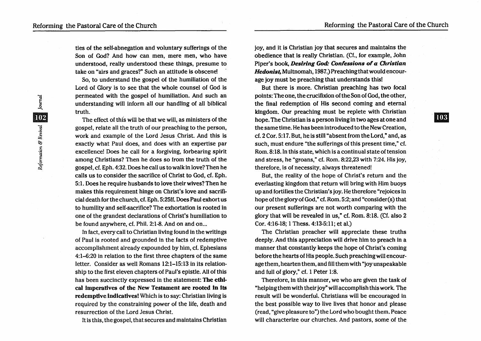**103** 

ties of the self-abnegation and voluntary sufferings of the Son of God? And how can men, mere men, who have understood, really understood these things, presume to take on "airs and graces?" Such an attitude is obscene!

So, to understand the gospel of the humiliation of the Lord of Glory is to see that the whole counsel of God is permeated with the gospel of humiliation. And such an understanding will inform all our handling of all biblical truth.

The effect of this will be that we will, as ministers of the gospel, relate all the truth of our preaching to the person, work and example of the Lord Jesus Christ. And this is exactly what Paul does, and does with an expertise par excellence! Does he call for a forgiving, forbearing spirit among Christians? Then he does so from the truth of the gospel, *ct.* Eph. 4:32. Does he call us to walk in love? Then he calls us to consider the sacrifice of Christ to God, ct. Eph. 5:l. Does he require husbands to love their wives? Then he makes this requirement hinge on Christ's love and sacrificial death for the church, *ct.* Eph. 5:25ff. Does Paul exhort us to humility and self-sacrifice? The exhortation is rooted in one of the grandest declarations of Christ's humiliation to be found anywhere, cf. Phil. 2:1-8. And on and on...

In fact, every call to Christian living found in the writings of Paul is rooted and grounded in the facts of redemptive accomplishment already expounded by him, *ct.* Ephesians 4:1-6:20 in relation to the first three chapters of the same letter. Consider as well Romans 12:1-15:13 in its relationship to the first eleven chapters of Paul's epistle. All of this has been succinctly expressed in the statement: The ethical Imperatives of the New Testament are rooted In Its redemptive indicatives! Which is to say: Christian living is required by the constraining power of the life, death and resurrection of the Lord Jesus Christ.

It is this, the gospel, that secures and maintains Christian

joy, and it is Christian joy that secures and maintains the obedience that is really Christian. (Ct., for example, John Piper's book, *Desiring God: Confessions of a Christian Hedonist,* Multnomah, 1987.) Preaching that would encourage joy must be preaching that understands this!

But there is more. Christian preaching has two focal points: The one, the crucifixion of the Son of God, the other, the final redemption of His second coming and eternal kingdom. Our preaching must be replete with Christian hope. The Christian is a person living in two ages at one and the same time. He has been introduced to the New Creation, ct. 2 Cor. 5:17. But, he is still "absent from the Lord," and, as such, must endure "the sufferings of this present time," *ct.*  Rom. 8: 18. In this state, which is a continual state of tension and stress, he "groans," cf. Rom. 8:22,23 with 7:24. His joy, therefore, is of necessity, always threatened!

But, the reality of the hope of Christ's return and the everlasting kingdom that return will bring with Him buoys up and fortifies the Christian's joy. He therefore "rejoices in hope of the glory of God," *cf. Rom.* 5:2; and "consider(s) that our present sufferings are not worth comparing with the glory that will be revealed in us," cf. Rom. 8: 18. (Ct. also 2 Cor. 4:16-18; 1 Thess. 4:13-5:11; et al.)

The Christian preacher will appreciate these truths deeply. And this appreciation will drive him to preach in a manner that constantly keeps the hope of Christ's coming before the hearts of His people. Such preaching will encourage them, hearten them, and fill them with "joy unspeakable and full of glory," *ct.* 1 Peter 1:8.

Therefore, in this manner, we who are given the task of "helping them with their joy" will accomplish this work. The result will be wonderful. Christians will be encouraged in the best possible way to live lives that honor and please (read, "give pleasure to") the Lord who bought them. Peace will characterize our churches. And pastors, some of the